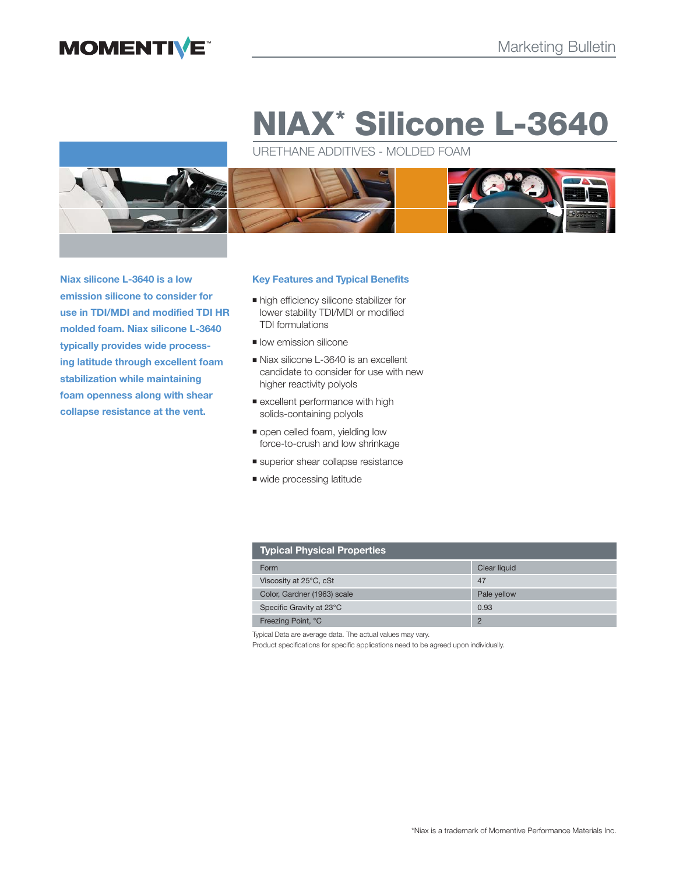# **MOMENTIVE**

# **NIAX\* Silicone L-3640**

URETHANE ADDITIVES - MOLDED FOAM



**Niax silicone L-3640 is a low emission silicone to consider for use in TDI/MDI and modified TDI HR molded foam. Niax silicone L-3640 typically provides wide processing latitude through excellent foam stabilization while maintaining foam openness along with shear collapse resistance at the vent.**

# **Key Features and Typical Benefits**

- $\blacksquare$  high efficiency silicone stabilizer for lower stability TDI/MDI or modified TDI formulations
- low emission silicone
- Niax silicone L-3640 is an excellent candidate to consider for use with new higher reactivity polyols
- **Excellent performance with high** solids-containing polyols
- open celled foam, yielding low force-to-crush and low shrinkage
- superior shear collapse resistance
- wide processing latitude

| Typical Physical Properties |                |  |
|-----------------------------|----------------|--|
| Form                        | Clear liquid   |  |
| Viscosity at 25°C, cSt      | 47             |  |
| Color, Gardner (1963) scale | Pale yellow    |  |
| Specific Gravity at 23°C    | 0.93           |  |
| Freezing Point, °C          | $\overline{c}$ |  |

Typical Data are average data. The actual values may vary.

Product specifications for specific applications need to be agreed upon individually.

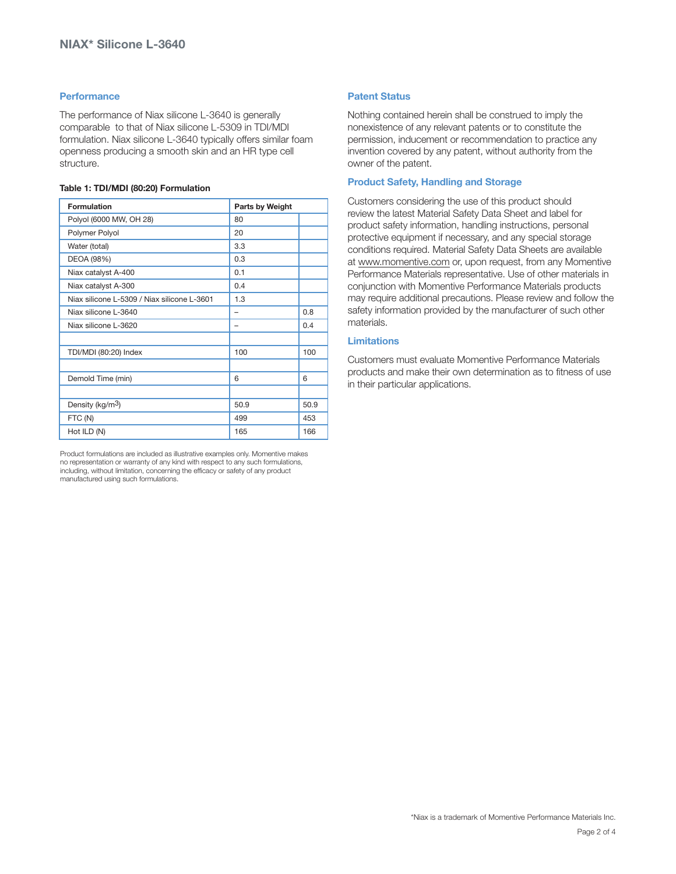# **Performance**

The performance of Niax silicone L-3640 is generally comparable to that of Niax silicone L-5309 in TDI/MDI formulation. Niax silicone L-3640 typically offers similar foam openness producing a smooth skin and an HR type cell structure.

# **Table 1: TDI/MDI (80:20) Formulation**

| Formulation                                 | Parts by Weight |      |
|---------------------------------------------|-----------------|------|
| Polyol (6000 MW, OH 28)                     | 80              |      |
| Polymer Polyol                              | 20              |      |
| Water (total)                               | 3.3             |      |
| DEOA (98%)                                  | 0.3             |      |
| Niax catalyst A-400                         | 0.1             |      |
| Niax catalyst A-300                         | 0.4             |      |
| Niax silicone L-5309 / Niax silicone L-3601 | 1.3             |      |
| Niax silicone L-3640                        | -               | 0.8  |
| Niax silicone L-3620                        | -               | 0.4  |
|                                             |                 |      |
| TDI/MDI (80:20) Index                       | 100             | 100  |
|                                             |                 |      |
| Demold Time (min)                           | 6               | 6    |
|                                             |                 |      |
| Density (kg/m <sup>3</sup> )                | 50.9            | 50.9 |
| FTC (N)                                     | 499             | 453  |
| Hot ILD (N)                                 | 165             | 166  |

Product formulations are included as illustrative examples only. Momentive makes no representation or warranty of any kind with respect to any such formulations, including, without limitation, concerning the efficacy or safety of any product manufactured using such formulations.

# **Patent Status**

Nothing contained herein shall be construed to imply the nonexistence of any relevant patents or to constitute the permission, inducement or recommendation to practice any invention covered by any patent, without authority from the owner of the patent.

# **Product Safety, Handling and Storage**

Customers considering the use of this product should review the latest Material Safety Data Sheet and label for product safety information, handling instructions, personal protective equipment if necessary, and any special storage conditions required. Material Safety Data Sheets are available at www.momentive.com or, upon request, from any Momentive Performance Materials representative. Use of other materials in conjunction with Momentive Performance Materials products may require additional precautions. Please review and follow the safety information provided by the manufacturer of such other materials.

# **Limitations**

Customers must evaluate Momentive Performance Materials products and make their own determination as to fitness of use in their particular applications.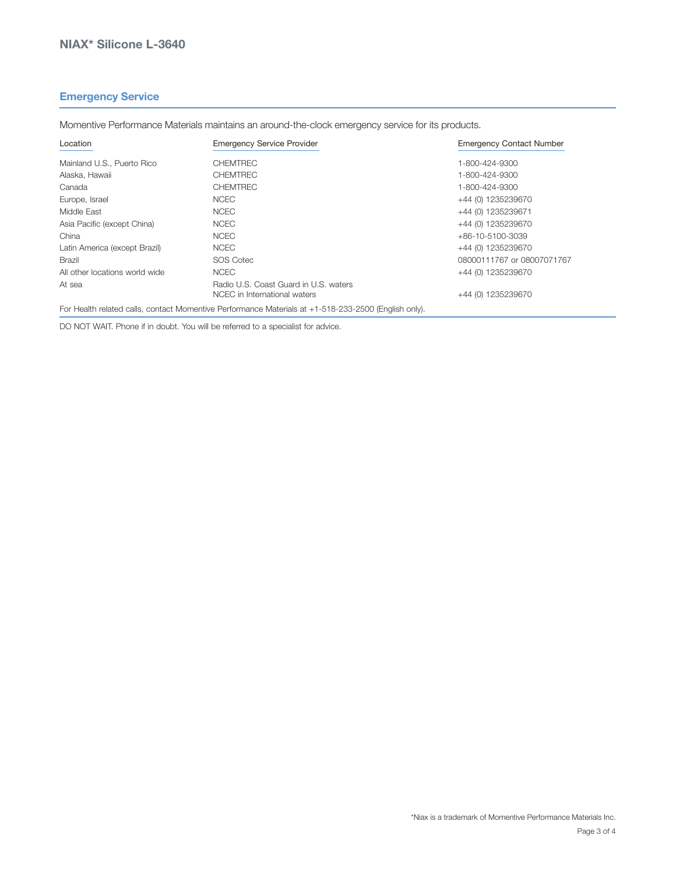# **Emergency Service**

Momentive Performance Materials maintains an around-the-clock emergency service for its products.

| Location                       | <b>Emergency Service Provider</b>                                     | <b>Emergency Contact Number</b> |  |
|--------------------------------|-----------------------------------------------------------------------|---------------------------------|--|
| Mainland U.S., Puerto Rico     | <b>CHEMTREC</b>                                                       | 1-800-424-9300                  |  |
| Alaska, Hawaii                 | <b>CHEMTREC</b>                                                       | 1-800-424-9300                  |  |
| Canada                         | <b>CHEMTREC</b>                                                       | 1-800-424-9300                  |  |
| Europe, Israel                 | <b>NCEC</b>                                                           | +44 (0) 1235239670              |  |
| Middle East                    | <b>NCEC</b>                                                           | +44 (0) 1235239671              |  |
| Asia Pacific (except China)    | <b>NCEC</b>                                                           | +44 (0) 1235239670              |  |
| China                          | <b>NCEC</b>                                                           | +86-10-5100-3039                |  |
| Latin America (except Brazil)  | <b>NCEC</b>                                                           | +44 (0) 1235239670              |  |
| Brazil                         | <b>SOS Cotec</b>                                                      | 08000111767 or 08007071767      |  |
| All other locations world wide | <b>NCEC</b>                                                           | +44 (0) 1235239670              |  |
| At sea                         | Radio U.S. Coast Guard in U.S. waters<br>NCEC in International waters | +44 (0) 1235239670              |  |

For Health related calls, contact Momentive Performance Materials at +1-518-233-2500 (English only).

DO NOT WAIT. Phone if in doubt. You will be referred to a specialist for advice.